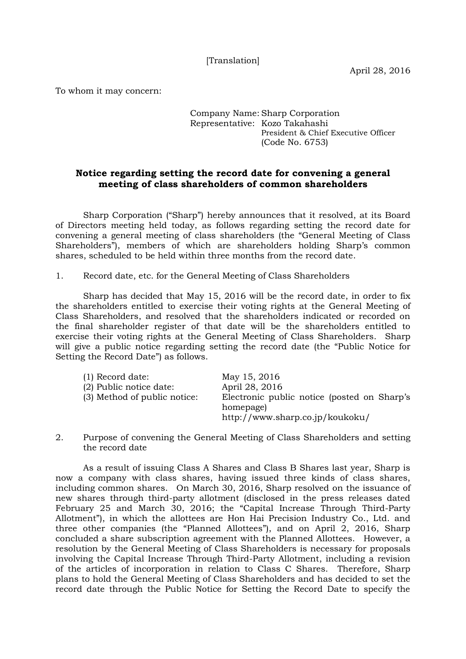[Translation]

To whom it may concern:

## Company Name: Sharp Corporation Representative: Kozo Takahashi President & Chief Executive Officer (Code No. 6753)

## **Notice regarding setting the record date for convening a general meeting of class shareholders of common shareholders**

Sharp Corporation ("Sharp") hereby announces that it resolved, at its Board of Directors meeting held today, as follows regarding setting the record date for convening a general meeting of class shareholders (the "General Meeting of Class Shareholders"), members of which are shareholders holding Sharp's common shares, scheduled to be held within three months from the record date.

1. Record date, etc. for the General Meeting of Class Shareholders

Sharp has decided that May 15, 2016 will be the record date, in order to fix the shareholders entitled to exercise their voting rights at the General Meeting of Class Shareholders, and resolved that the shareholders indicated or recorded on the final shareholder register of that date will be the shareholders entitled to exercise their voting rights at the General Meeting of Class Shareholders. Sharp will give a public notice regarding setting the record date (the "Public Notice for Setting the Record Date") as follows.

| $(1)$ Record date:           | May 15, 2016                                |
|------------------------------|---------------------------------------------|
| (2) Public notice date:      | April 28, 2016                              |
| (3) Method of public notice: | Electronic public notice (posted on Sharp's |
|                              | homepage)                                   |
|                              | http://www.sharp.co.jp/koukoku/             |

2. Purpose of convening the General Meeting of Class Shareholders and setting the record date

As a result of issuing Class A Shares and Class B Shares last year, Sharp is now a company with class shares, having issued three kinds of class shares, including common shares. On March 30, 2016, Sharp resolved on the issuance of new shares through third-party allotment (disclosed in the press releases dated February 25 and March 30, 2016; the "Capital Increase Through Third-Party Allotment"), in which the allottees are Hon Hai Precision Industry Co., Ltd. and three other companies (the "Planned Allottees"), and on April 2, 2016, Sharp concluded a share subscription agreement with the Planned Allottees. However, a resolution by the General Meeting of Class Shareholders is necessary for proposals involving the Capital Increase Through Third-Party Allotment, including a revision of the articles of incorporation in relation to Class C Shares. Therefore, Sharp plans to hold the General Meeting of Class Shareholders and has decided to set the record date through the Public Notice for Setting the Record Date to specify the